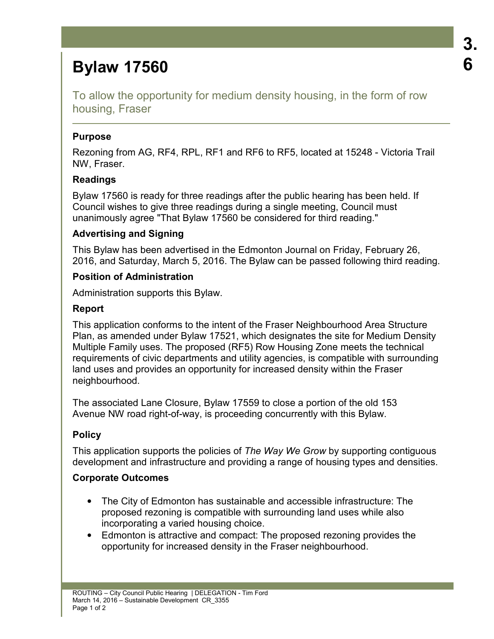# **Bylaw 17560**

To allow the opportunity for medium density housing, in the form of row housing, Fraser

### **Purpose**

Rezoning from AG, RF4, RPL, RF1 and RF6 to RF5, located at 15248 - Victoria Trail NW, Fraser.

# **Readings**

Bylaw 17560 is ready for three readings after the public hearing has been held. If Council wishes to give three readings during a single meeting, Council must unanimously agree "That Bylaw 17560 be considered for third reading."

# **Advertising and Signing**

This Bylaw has been advertised in the Edmonton Journal on Friday, February 26, 2016, and Saturday, March 5, 2016. The Bylaw can be passed following third reading.

# **Position of Administration**

Administration supports this Bylaw.

# **Report**

This application conforms to the intent of the Fraser Neighbourhood Area Structure Plan, as amended under Bylaw 17521, which designates the site for Medium Density Multiple Family uses. The proposed (RF5) Row Housing Zone meets the technical requirements of civic departments and utility agencies, is compatible with surrounding land uses and provides an opportunity for increased density within the Fraser neighbourhood.

The associated Lane Closure, Bylaw 17559 to close a portion of the old 153 Avenue NW road right-of-way, is proceeding concurrently with this Bylaw.

# **Policy**

This application supports the policies of *The Way We Grow* by supporting contiguous development and infrastructure and providing a range of housing types and densities.

# **Corporate Outcomes**

- The City of Edmonton has sustainable and accessible infrastructure: The proposed rezoning is compatible with surrounding land uses while also incorporating a varied housing choice.
- Edmonton is attractive and compact: The proposed rezoning provides the opportunity for increased density in the Fraser neighbourhood.